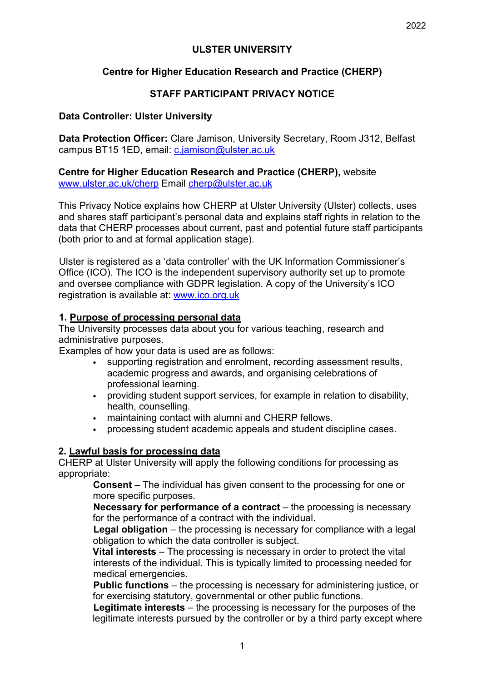## **ULSTER UNIVERSITY**

## **Centre for Higher Education Research and Practice (CHERP)**

## **STAFF PARTICIPANT PRIVACY NOTICE**

### **Data Controller: Ulster University**

**Data Protection Officer:** Clare Jamison, University Secretary, Room J312, Belfast campus BT15 1ED, email: c.jamison@ulster.ac.uk

**Centre for Higher Education Research and Practice (CHERP),** website www.ulster.ac.uk/cherp Email cherp@ulster.ac.uk

This Privacy Notice explains how CHERP at Ulster University (Ulster) collects, uses and shares staff participant's personal data and explains staff rights in relation to the data that CHERP processes about current, past and potential future staff participants (both prior to and at formal application stage).

Ulster is registered as a 'data controller' with the UK Information Commissioner's Office (ICO). The ICO is the independent supervisory authority set up to promote and oversee compliance with GDPR legislation. A copy of the University's ICO registration is available at: www.ico.org.uk

#### **1. Purpose of processing personal data**

The University processes data about you for various teaching, research and administrative purposes.

Examples of how your data is used are as follows:

- supporting registration and enrolment, recording assessment results, academic progress and awards, and organising celebrations of professional learning.
- providing student support services, for example in relation to disability, health, counselling.
- maintaining contact with alumni and CHERP fellows.
- processing student academic appeals and student discipline cases.

#### **2. Lawful basis for processing data**

CHERP at Ulster University will apply the following conditions for processing as appropriate:

> **Consent** – The individual has given consent to the processing for one or more specific purposes.

**Necessary for performance of a contract** – the processing is necessary for the performance of a contract with the individual.

**Legal obligation** – the processing is necessary for compliance with a legal obligation to which the data controller is subject.

**Vital interests** – The processing is necessary in order to protect the vital interests of the individual. This is typically limited to processing needed for medical emergencies.

**Public functions** – the processing is necessary for administering justice, or for exercising statutory, governmental or other public functions.

**Legitimate interests** – the processing is necessary for the purposes of the legitimate interests pursued by the controller or by a third party except where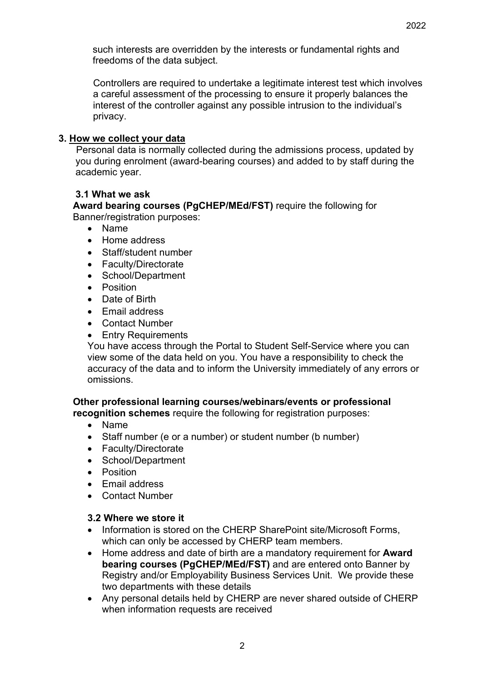such interests are overridden by the interests or fundamental rights and freedoms of the data subject.

Controllers are required to undertake a legitimate interest test which involves a careful assessment of the processing to ensure it properly balances the interest of the controller against any possible intrusion to the individual's privacy.

### **3. How we collect your data**

Personal data is normally collected during the admissions process, updated by you during enrolment (award-bearing courses) and added to by staff during the academic year.

### **3.1 What we ask**

**Award bearing courses (PgCHEP/MEd/FST)** require the following for Banner/registration purposes:

- Name
- Home address
- Staff/student number
- Faculty/Directorate
- School/Department
- Position
- Date of Birth
- Email address
- Contact Number
- Entry Requirements

You have access through the Portal to Student Self-Service where you can view some of the data held on you. You have a responsibility to check the accuracy of the data and to inform the University immediately of any errors or omissions.

# **Other professional learning courses/webinars/events or professional**

**recognition schemes** require the following for registration purposes:

- Name
- Staff number (e or a number) or student number (b number)
- Faculty/Directorate
- School/Department
- Position
- Email address
- Contact Number

### **3.2 Where we store it**

- Information is stored on the CHERP SharePoint site/Microsoft Forms, which can only be accessed by CHERP team members.
- Home address and date of birth are a mandatory requirement for **Award bearing courses (PgCHEP/MEd/FST)** and are entered onto Banner by Registry and/or Employability Business Services Unit. We provide these two departments with these details
- Any personal details held by CHERP are never shared outside of CHERP when information requests are received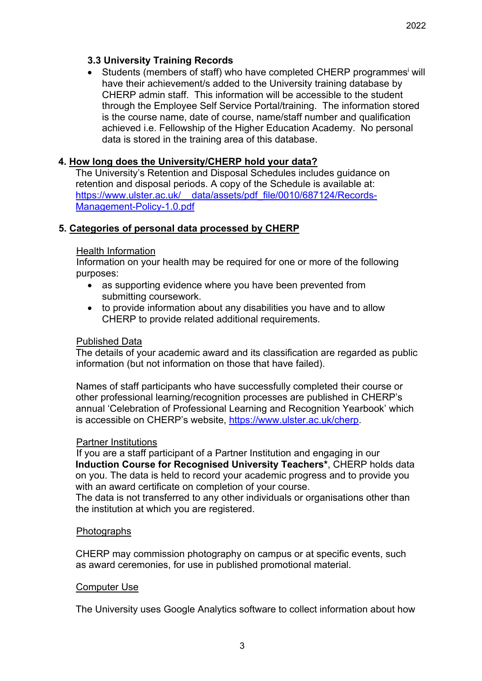## **3.3 University Training Records**

Students (members of staff) who have completed CHERP programmes<sup>i</sup> will have their achievement/s added to the University training database by CHERP admin staff. This information will be accessible to the student through the Employee Self Service Portal/training. The information stored is the course name, date of course, name/staff number and qualification achieved i.e. Fellowship of the Higher Education Academy. No personal data is stored in the training area of this database.

## **4. How long does the University/CHERP hold your data?**

The University's Retention and Disposal Schedules includes guidance on retention and disposal periods. A copy of the Schedule is available at: https://www.ulster.ac.uk/ data/assets/pdf\_file/0010/687124/Records-Management-Policy-1.0.pdf

### **5. Categories of personal data processed by CHERP**

#### Health Information

Information on your health may be required for one or more of the following purposes:

- as supporting evidence where you have been prevented from submitting coursework.
- to provide information about any disabilities you have and to allow CHERP to provide related additional requirements.

#### Published Data

The details of your academic award and its classification are regarded as public information (but not information on those that have failed).

Names of staff participants who have successfully completed their course or other professional learning/recognition processes are published in CHERP's annual 'Celebration of Professional Learning and Recognition Yearbook' which is accessible on CHERP's website, https://www.ulster.ac.uk/cherp.

#### Partner Institutions

If you are a staff participant of a Partner Institution and engaging in our **Induction Course for Recognised University Teachers\***, CHERP holds data on you. The data is held to record your academic progress and to provide you with an award certificate on completion of your course.

The data is not transferred to any other individuals or organisations other than the institution at which you are registered.

#### Photographs

CHERP may commission photography on campus or at specific events, such as award ceremonies, for use in published promotional material.

#### Computer Use

The University uses Google Analytics software to collect information about how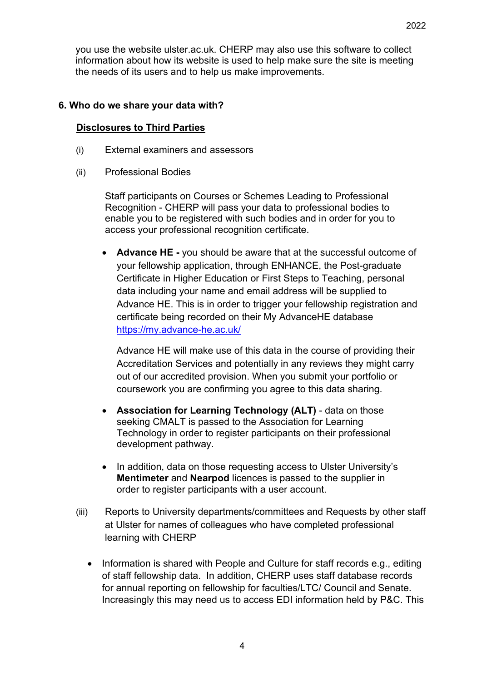you use the website ulster.ac.uk. CHERP may also use this software to collect information about how its website is used to help make sure the site is meeting the needs of its users and to help us make improvements.

## **6. Who do we share your data with?**

## **Disclosures to Third Parties**

- (i) External examiners and assessors
- (ii) Professional Bodies

Staff participants on Courses or Schemes Leading to Professional Recognition - CHERP will pass your data to professional bodies to enable you to be registered with such bodies and in order for you to access your professional recognition certificate.

• **Advance HE -** you should be aware that at the successful outcome of your fellowship application, through ENHANCE, the Post-graduate Certificate in Higher Education or First Steps to Teaching, personal data including your name and email address will be supplied to Advance HE. This is in order to trigger your fellowship registration and certificate being recorded on their My AdvanceHE database https://my.advance-he.ac.uk/

Advance HE will make use of this data in the course of providing their Accreditation Services and potentially in any reviews they might carry out of our accredited provision. When you submit your portfolio or coursework you are confirming you agree to this data sharing.

- **Association for Learning Technology (ALT)** data on those seeking CMALT is passed to the Association for Learning Technology in order to register participants on their professional development pathway.
- In addition, data on those requesting access to Ulster University's **Mentimeter** and **Nearpod** licences is passed to the supplier in order to register participants with a user account.
- (iii) Reports to University departments/committees and Requests by other staff at Ulster for names of colleagues who have completed professional learning with CHERP
	- Information is shared with People and Culture for staff records e.g., editing of staff fellowship data. In addition, CHERP uses staff database records for annual reporting on fellowship for faculties/LTC/ Council and Senate. Increasingly this may need us to access EDI information held by P&C. This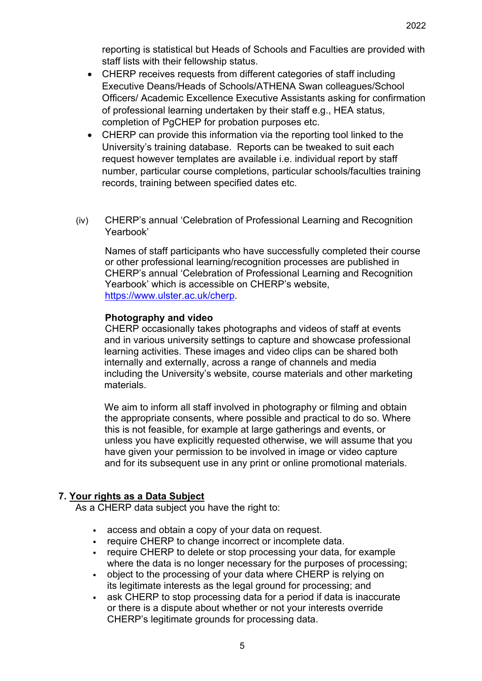reporting is statistical but Heads of Schools and Faculties are provided with staff lists with their fellowship status.

- CHERP receives requests from different categories of staff including Executive Deans/Heads of Schools/ATHENA Swan colleagues/School Officers/ Academic Excellence Executive Assistants asking for confirmation of professional learning undertaken by their staff e.g., HEA status, completion of PgCHEP for probation purposes etc.
- CHERP can provide this information via the reporting tool linked to the University's training database. Reports can be tweaked to suit each request however templates are available i.e. individual report by staff number, particular course completions, particular schools/faculties training records, training between specified dates etc.
- (iv) CHERP's annual 'Celebration of Professional Learning and Recognition Yearbook'

Names of staff participants who have successfully completed their course or other professional learning/recognition processes are published in CHERP's annual 'Celebration of Professional Learning and Recognition Yearbook' which is accessible on CHERP's website, https://www.ulster.ac.uk/cherp.

## **Photography and video**

CHERP occasionally takes photographs and videos of staff at events and in various university settings to capture and showcase professional learning activities. These images and video clips can be shared both internally and externally, across a range of channels and media including the University's website, course materials and other marketing materials.

We aim to inform all staff involved in photography or filming and obtain the appropriate consents, where possible and practical to do so. Where this is not feasible, for example at large gatherings and events, or unless you have explicitly requested otherwise, we will assume that you have given your permission to be involved in image or video capture and for its subsequent use in any print or online promotional materials.

# **7. Your rights as a Data Subject**

As a CHERP data subject you have the right to:

- access and obtain a copy of your data on request.
- require CHERP to change incorrect or incomplete data.
- require CHERP to delete or stop processing your data, for example where the data is no longer necessary for the purposes of processing;
- object to the processing of your data where CHERP is relying on its legitimate interests as the legal ground for processing; and
- ask CHERP to stop processing data for a period if data is inaccurate or there is a dispute about whether or not your interests override CHERP's legitimate grounds for processing data.